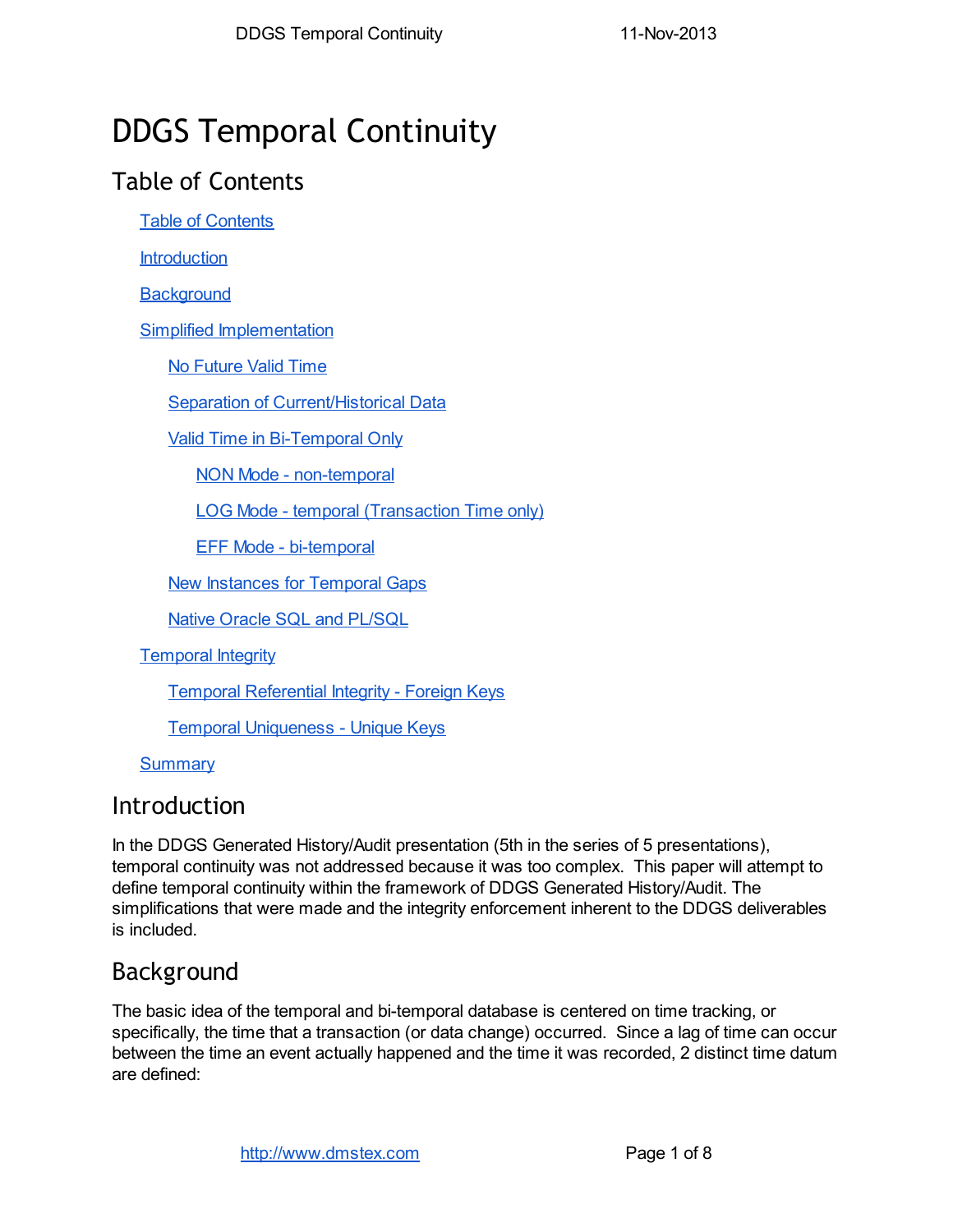# DDGS Temporal Continuity

## Table of Contents

Table of Contents

**Introduction** 

**Background** 

Simplified Implementation

No Future Valid Time

Separation of Current/Historical Data

Valid Time in Bi-Temporal Only

NON Mode - non-temporal

LOG Mode - temporal (Transaction Time only)

EFF Mode - bi-temporal

New Instances for Temporal Gaps

Native Oracle SQL and PL/SQL

Temporal Integrity

Temporal Referential Integrity - Foreign Keys

Temporal Uniqueness - Unique Keys

**Summary** 

## Introduction

In the DDGS Generated History/Audit presentation (5th in the series of 5 presentations), temporal continuity was not addressed because it was too complex. This paper will attempt to define temporal continuity within the framework of DDGS Generated History/Audit. The simplifications that were made and the integrity enforcement inherent to the DDGS deliverables is included.

## Background

The basic idea of the temporal and bi-temporal database is centered on time tracking, or specifically, the time that a transaction (or data change) occurred. Since a lag of time can occur between the time an event actually happened and the time it was recorded, 2 distinct time datum are defined: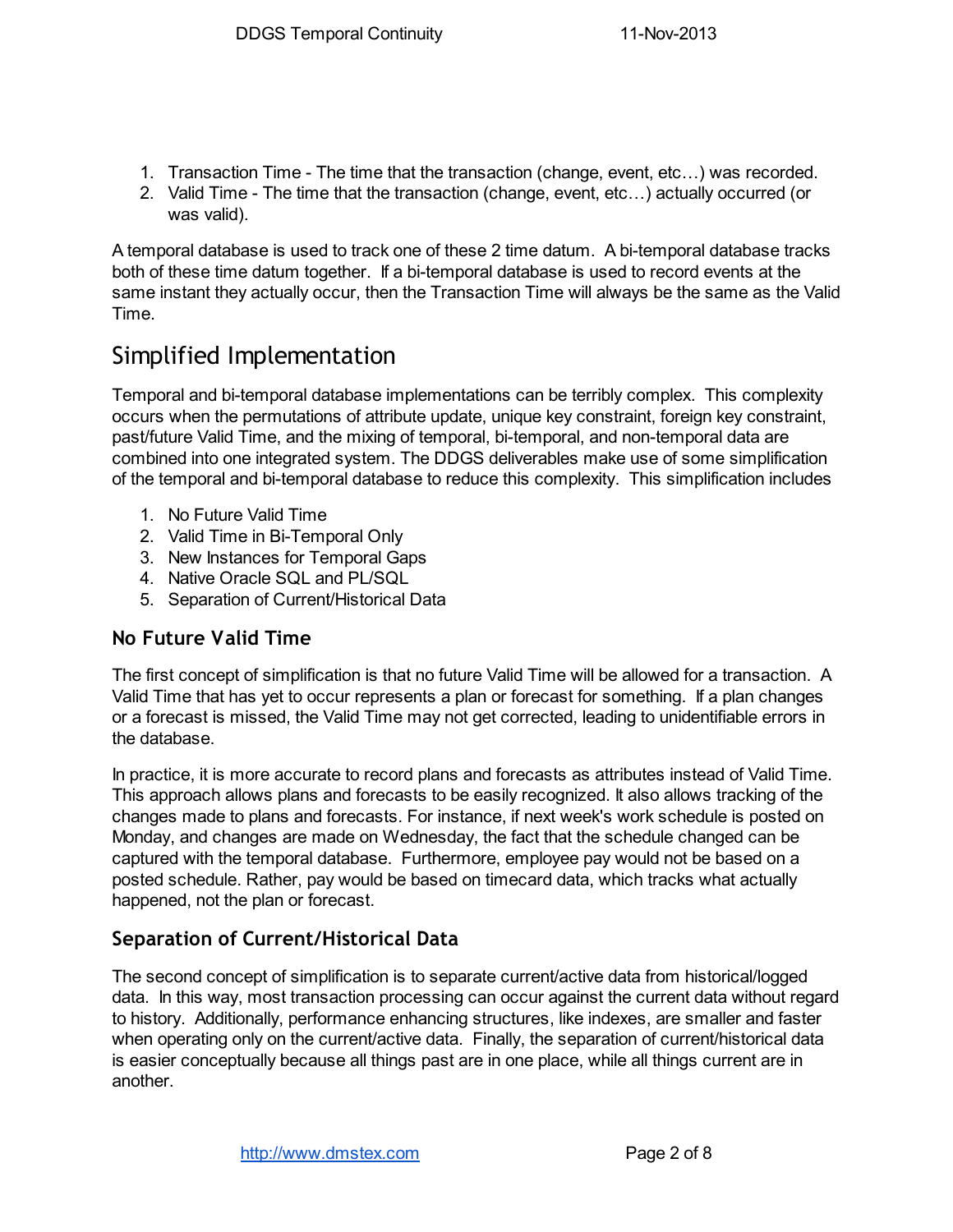- 1. Transaction Time The time that the transaction (change, event, etc…) was recorded.
- 2. Valid Time The time that the transaction (change, event, etc…) actually occurred (or was valid).

A temporal database is used to track one of these 2 time datum. A bi-temporal database tracks both of these time datum together. If a bi-temporal database is used to record events at the same instant they actually occur, then the Transaction Time will always be the same as the Valid Time.

## Simplified Implementation

Temporal and bi-temporal database implementations can be terribly complex. This complexity occurs when the permutations of attribute update, unique key constraint, foreign key constraint, past/future Valid Time, and the mixing of temporal, bi-temporal, and non-temporal data are combined into one integrated system. The DDGS deliverables make use of some simplification of the temporal and bi-temporal database to reduce this complexity. This simplification includes

- 1. No Future Valid Time
- 2. Valid Time in Bi-Temporal Only
- 3. New Instances for Temporal Gaps
- 4. Native Oracle SQL and PL/SQL
- 5. Separation of Current/Historical Data

### No Future Valid Time

The first concept of simplification is that no future Valid Time will be allowed for a transaction. A Valid Time that has yet to occur represents a plan or forecast for something. If a plan changes or a forecast is missed, the Valid Time may not get corrected, leading to unidentifiable errors in the database.

In practice, it is more accurate to record plans and forecasts as attributes instead of Valid Time. This approach allows plans and forecasts to be easily recognized. It also allows tracking of the changes made to plans and forecasts. For instance, if next week's work schedule is posted on Monday, and changes are made on Wednesday, the fact that the schedule changed can be captured with the temporal database. Furthermore, employee pay would not be based on a posted schedule. Rather, pay would be based on timecard data, which tracks what actually happened, not the plan or forecast.

## Separation of Current/Historical Data

The second concept of simplification is to separate current/active data from historical/logged data. In this way, most transaction processing can occur against the current data without regard to history. Additionally, performance enhancing structures, like indexes, are smaller and faster when operating only on the current/active data. Finally, the separation of current/historical data is easier conceptually because all things past are in one place, while all things current are in another.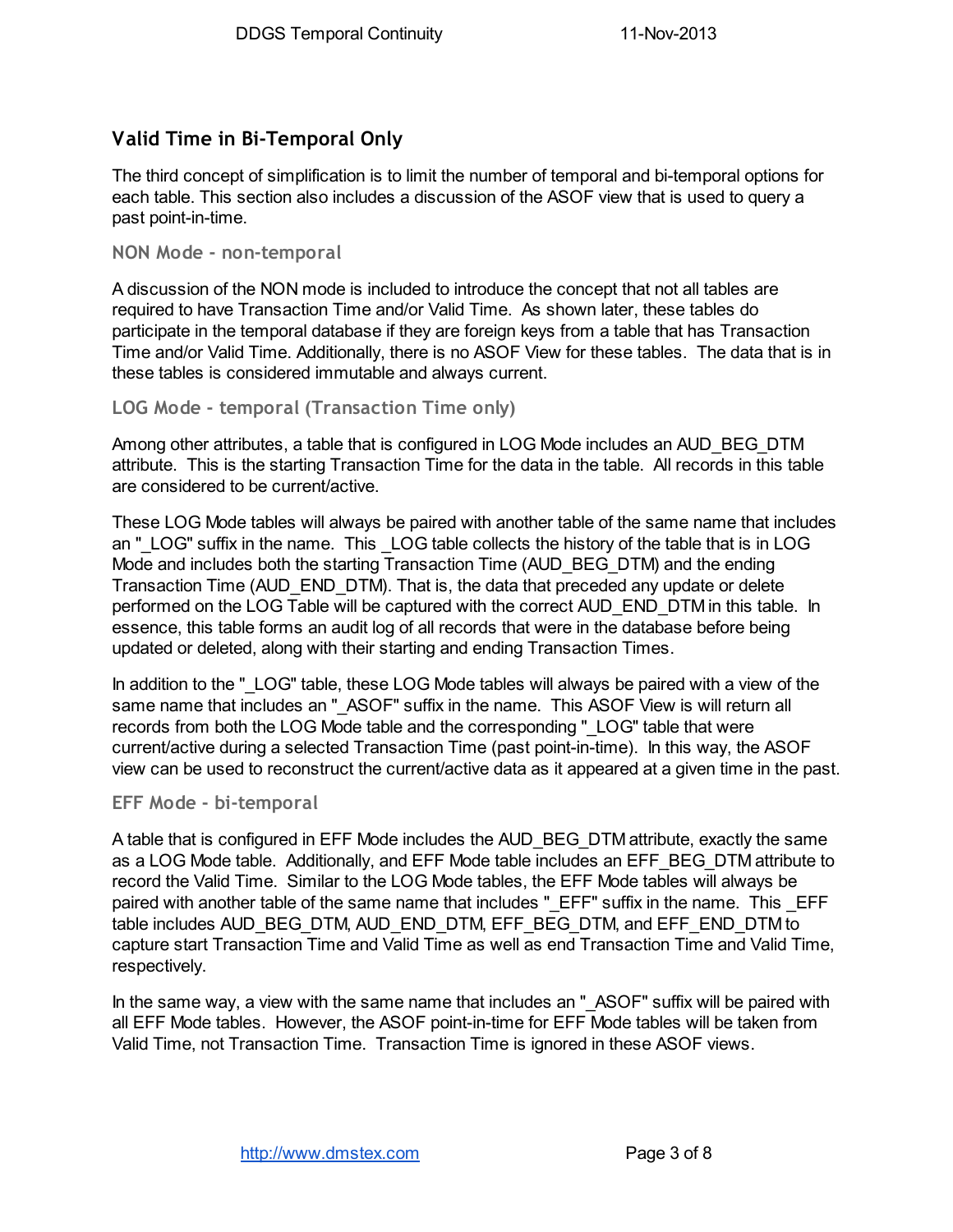## Valid Time in Bi-Temporal Only

The third concept of simplification is to limit the number of temporal and bi-temporal options for each table. This section also includes a discussion of the ASOF view that is used to query a past point-in-time.

#### NON Mode - non-temporal

A discussion of the NON mode is included to introduce the concept that not all tables are required to have Transaction Time and/or Valid Time. As shown later, these tables do participate in the temporal database if they are foreign keys from a table that has Transaction Time and/or Valid Time. Additionally, there is no ASOF View for these tables. The data that is in these tables is considered immutable and always current.

LOG Mode - temporal (Transaction Time only)

Among other attributes, a table that is configured in LOG Mode includes an AUD\_BEG\_DTM attribute. This is the starting Transaction Time for the data in the table. All records in this table are considered to be current/active.

These LOG Mode tables will always be paired with another table of the same name that includes an " LOG" suffix in the name. This LOG table collects the history of the table that is in LOG Mode and includes both the starting Transaction Time (AUD\_BEG\_DTM) and the ending Transaction Time (AUD\_END\_DTM). That is, the data that preceded any update or delete performed on the LOG Table will be captured with the correct AUD\_END\_DTM in this table. In essence, this table forms an audit log of all records that were in the database before being updated or deleted, along with their starting and ending Transaction Times.

In addition to the " LOG" table, these LOG Mode tables will always be paired with a view of the same name that includes an "\_ASOF" suffix in the name. This ASOF View is will return all records from both the LOG Mode table and the corresponding "\_LOG" table that were current/active during a selected Transaction Time (past point-in-time). In this way, the ASOF view can be used to reconstruct the current/active data as it appeared at a given time in the past.

#### EFF Mode - bi-temporal

A table that is configured in EFF Mode includes the AUD\_BEG\_DTM attribute, exactly the same as a LOG Mode table. Additionally, and EFF Mode table includes an EFF\_BEG\_DTM attribute to record the Valid Time. Similar to the LOG Mode tables, the EFF Mode tables will always be paired with another table of the same name that includes "\_EFF" suffix in the name. This \_EFF table includes AUD\_BEG\_DTM, AUD\_END\_DTM, EFF\_BEG\_DTM, and EFF\_END\_DTM to capture start Transaction Time and Valid Time as well as end Transaction Time and Valid Time, respectively.

In the same way, a view with the same name that includes an "\_ASOF" suffix will be paired with all EFF Mode tables. However, the ASOF point-in-time for EFF Mode tables will be taken from Valid Time, not Transaction Time. Transaction Time is ignored in these ASOF views.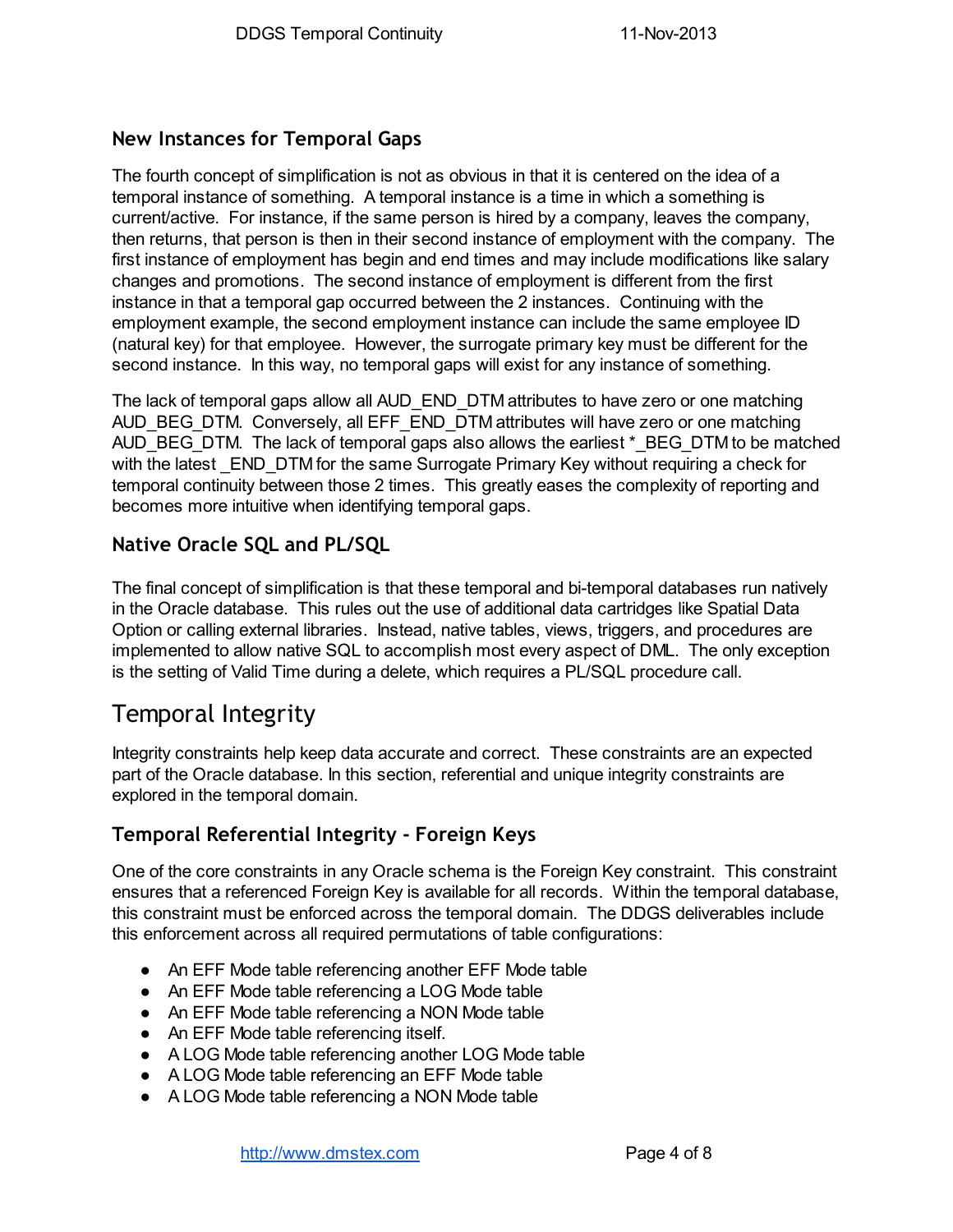### New Instances for Temporal Gaps

The fourth concept of simplification is not as obvious in that it is centered on the idea of a temporal instance of something. A temporal instance is a time in which a something is current/active. For instance, if the same person is hired by a company, leaves the company, then returns, that person is then in their second instance of employment with the company. The first instance of employment has begin and end times and may include modifications like salary changes and promotions. The second instance of employment is different from the first instance in that a temporal gap occurred between the 2 instances. Continuing with the employment example, the second employment instance can include the same employee ID (natural key) for that employee. However, the surrogate primary key must be different for the second instance. In this way, no temporal gaps will exist for any instance of something.

The lack of temporal gaps allow all AUD\_END\_DTM attributes to have zero or one matching AUD\_BEG\_DTM. Conversely, all EFF\_END\_DTM attributes will have zero or one matching AUD BEG DTM. The lack of temporal gaps also allows the earliest \*\_BEG\_DTM to be matched with the latest END DTM for the same Surrogate Primary Key without requiring a check for temporal continuity between those 2 times. This greatly eases the complexity of reporting and becomes more intuitive when identifying temporal gaps.

## Native Oracle SQL and PL/SQL

The final concept of simplification is that these temporal and bi-temporal databases run natively in the Oracle database. This rules out the use of additional data cartridges like Spatial Data Option or calling external libraries. Instead, native tables, views, triggers, and procedures are implemented to allow native SQL to accomplish most every aspect of DML. The only exception is the setting of Valid Time during a delete, which requires a PL/SQL procedure call.

## Temporal Integrity

Integrity constraints help keep data accurate and correct. These constraints are an expected part of the Oracle database. In this section, referential and unique integrity constraints are explored in the temporal domain.

### Temporal Referential Integrity - Foreign Keys

One of the core constraints in any Oracle schema is the Foreign Key constraint. This constraint ensures that a referenced Foreign Key is available for all records. Within the temporal database, this constraint must be enforced across the temporal domain. The DDGS deliverables include this enforcement across all required permutations of table configurations:

- An EFF Mode table referencing another EFF Mode table
- An EFF Mode table referencing a LOG Mode table
- An EFF Mode table referencing a NON Mode table
- An EFF Mode table referencing itself.
- A LOG Mode table referencing another LOG Mode table
- A LOG Mode table referencing an EFF Mode table
- A LOG Mode table referencing a NON Mode table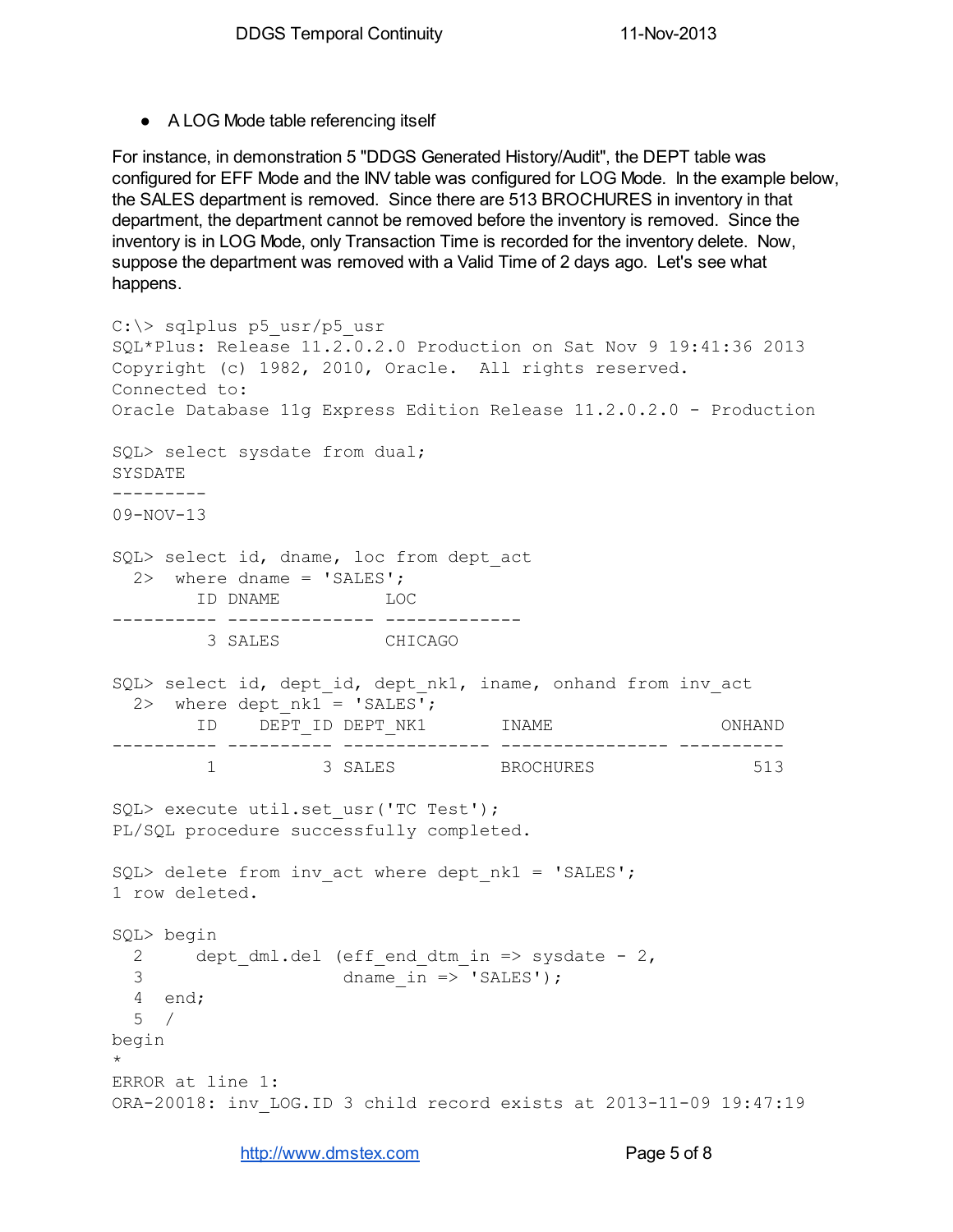● A LOG Mode table referencing itself

For instance, in demonstration 5 "DDGS Generated History/Audit", the DEPT table was configured for EFF Mode and the INV table was configured for LOG Mode. In the example below, the SALES department is removed. Since there are 513 BROCHURES in inventory in that department, the department cannot be removed before the inventory is removed. Since the inventory is in LOG Mode, only Transaction Time is recorded for the inventory delete. Now, suppose the department was removed with a Valid Time of 2 days ago. Let's see what happens.

```
C:\> sqlplus p5_usr/p5_usr
SQL*Plus: Release 11.2.0.2.0 Production on Sat Nov 9 19:41:36 2013
Copyright (c) 1982, 2010, Oracle. All rights reserved.
Connected to:
Oracle Database 11g Express Edition Release 11.2.0.2.0 - Production
SQL> select sysdate from dual;
SYSDATE
---------
09-NOV-13
SQL> select id, dname, loc from dept act
 2 where dname = 'SALES';
      ID DNAME LOC
---------- -------------- -------------
        3 SALES CHICAGO
SQL> select id, dept id, dept nk1, iname, onhand from inv act
 2> where dept nk1 = 'SALES';
     ID DEPT_ID DEPT_NK1 INAME ONHAND
---------- ---------- -------------- ---------------- ----------
       1 3 SALES BROCHURES 513
SQL> execute util.set usr('TC Test');
PL/SQL procedure successfully completed.
SQL> delete from inv act where dept nk1 = 'SALES';
1 row deleted.
SQL> begin
 2 dept dml.del (eff end dtm in => sysdate - 2,
 3 dname in => 'SALES');
 4 end;
 5 /
begin
*
ERROR at line 1:
ORA-20018: inv_LOG.ID 3 child record exists at 2013-11-09 19:47:19
```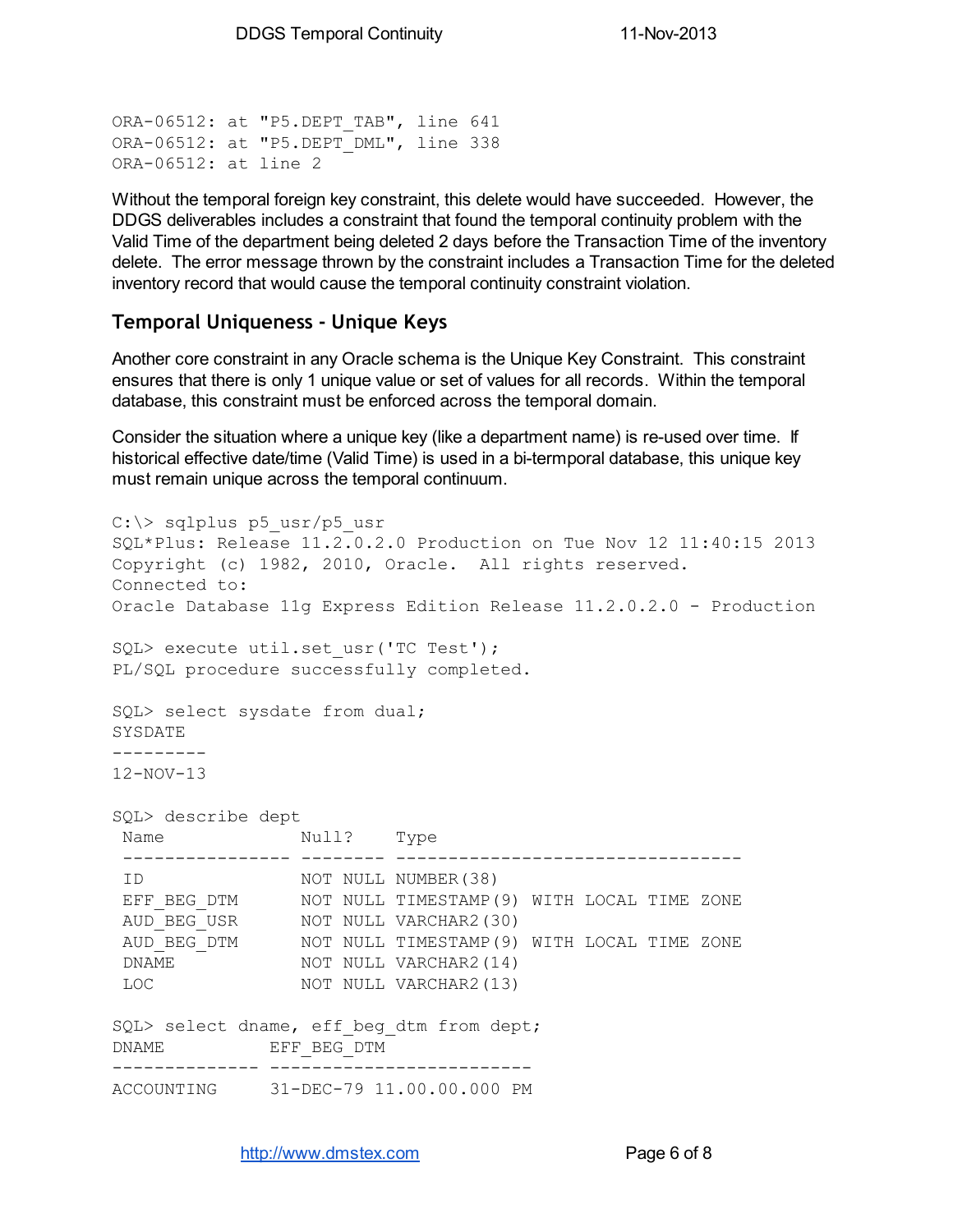ORA-06512: at "P5. DEPT TAB", line 641 ORA-06512: at "P5.DEPT\_DML", line 338 ORA-06512: at line 2

Without the temporal foreign key constraint, this delete would have succeeded. However, the DDGS deliverables includes a constraint that found the temporal continuity problem with the Valid Time of the department being deleted 2 days before the Transaction Time of the inventory delete. The error message thrown by the constraint includes a Transaction Time for the deleted inventory record that would cause the temporal continuity constraint violation.

#### Temporal Uniqueness - Unique Keys

Another core constraint in any Oracle schema is the Unique Key Constraint. This constraint ensures that there is only 1 unique value or set of values for all records. Within the temporal database, this constraint must be enforced across the temporal domain.

Consider the situation where a unique key (like a department name) is re-used over time. If historical effective date/time (Valid Time) is used in a bi-termporal database, this unique key must remain unique across the temporal continuum.

```
C:\> sqlplus p5 usr/p5 usr
SQL*Plus: Release 11.2.0.2.0 Production on Tue Nov 12 11:40:15 2013
Copyright (c) 1982, 2010, Oracle. All rights reserved.
Connected to:
Oracle Database 11g Express Edition Release 11.2.0.2.0 - Production
SQL> execute util.set usr('TC Test');
PL/SQL procedure successfully completed.
SQL> select sysdate from dual;
SYSDATE
---------
12-NOV-13
SQL> describe dept
Name Null? Type
 ---------------- -------- ---------------------------------
 ID NOT NULL NUMBER(38)
 EFF_BEG_DTM NOT NULL TIMESTAMP(9) WITH LOCAL TIME ZONE
 AUD_BEG_USR NOT NULL VARCHAR2(30)
 AUD_BEG_DTM NOT NULL TIMESTAMP(9) WITH LOCAL TIME ZONE
 DNAME NOT NULL VARCHAR2(14)
 LOC NOT NULL VARCHAR2(13)
SQL> select dname, eff beg dtm from dept;
DNAME EFF_BEG_DTM
-------------- -------------------------
ACCOUNTING 31-DEC-79 11.00.00.000 PM
```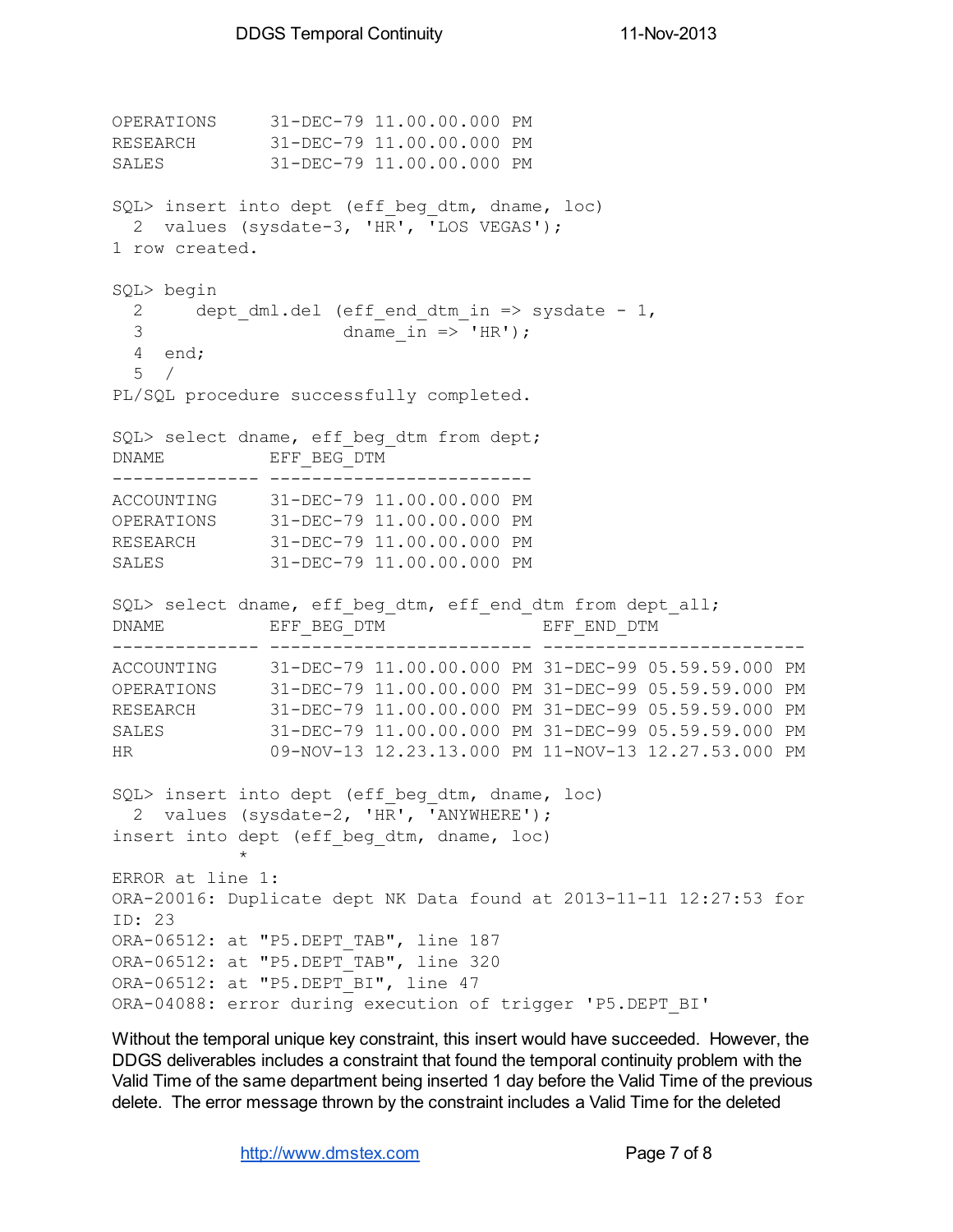```
OPERATIONS 31-DEC-79 11.00.00.000 PM
RESEARCH 31-DEC-79 11.00.00.000 PM
SALES 31-DEC-79 11.00.00.000 PM
SQL> insert into dept (eff beg dtm, dname, loc)
 2 values (sysdate-3, 'HR', 'LOS VEGAS');
1 row created.
SQL> begin
 2 dept dml.del (eff end dtm in => sysdate - 1,
 3 dname in \Rightarrow 'HR');
 4 end;
 5 /
PL/SQL procedure successfully completed.
SQL> select dname, eff beg dtm from dept;
DNAME EFF BEG DTM
-------------- -------------------------
ACCOUNTING 31-DEC-79 11.00.00.000 PM
OPERATIONS 31-DEC-79 11.00.00.000 PM
RESEARCH 31-DEC-79 11.00.00.000 PM
SALES 31-DEC-79 11.00.00.000 PM
SQL> select dname, eff beg dtm, eff end dtm from dept all;
DNAME EFF_BEG_DTM EFF_END_DTM
-------------- ------------------------- -------------------------
ACCOUNTING 31-DEC-79 11.00.00.000 PM 31-DEC-99 05.59.59.000 PM
OPERATIONS 31-DEC-79 11.00.00.000 PM 31-DEC-99 05.59.59.000 PM
RESEARCH 31-DEC-79 11.00.00.000 PM 31-DEC-99 05.59.59.000 PM
SALES 31-DEC-79 11.00.00.000 PM 31-DEC-99 05.59.59.000 PM
HR 09-NOV-13 12.23.13.000 PM 11-NOV-13 12.27.53.000 PM
SQL> insert into dept (eff beg dtm, dname, loc)
 2 values (sysdate-2, 'HR', 'ANYWHERE');
insert into dept (eff beg dtm, dname, loc)
           *
ERROR at line 1:
ORA-20016: Duplicate dept NK Data found at 2013-11-11 12:27:53 for
ID: 23
ORA-06512: at "P5. DEPT TAB", line 187
ORA-06512: at "P5.DEPT_TAB", line 320
ORA-06512: at "P5.DEPT BI", line 47
ORA-04088: error during execution of trigger 'P5.DEPT_BI'
```
Without the temporal unique key constraint, this insert would have succeeded. However, the DDGS deliverables includes a constraint that found the temporal continuity problem with the Valid Time of the same department being inserted 1 day before the Valid Time of the previous delete. The error message thrown by the constraint includes a Valid Time for the deleted